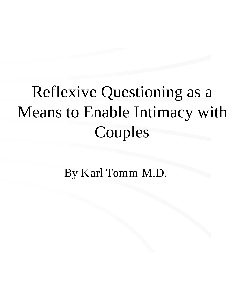## Reflexive Questioning as a Means to Enable Intimacy with Couples

By Karl Tomm M.D.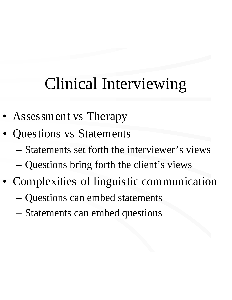#### Clinical Interviewing

- Assessment vs Therapy
- Questions vs Statements
	- Statements set forth the interviewer's views
	- Questions bring forth the client's views
- Complexities of linguistic communication
	- Questions can embed statements
	- Statements can embed questions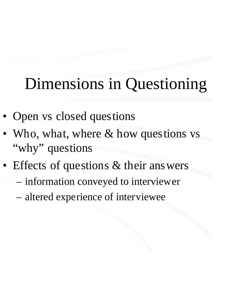#### Dimensions in Questioning

- Open vs closed questions
- Who, what, where & how questions vs "why" questions
- Effects of questions & their answers
	- information conveyed to interviewer
	- altered experience of interviewee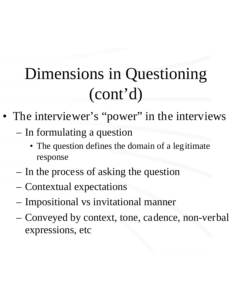### Dimensions in Questioning (cont'd)

- The interviewer's "power" in the interviews
	- In formulating a question
		- The question defines the domain of a legitimate response
	- In the process of asking the question
	- Contextual expectations
	- Impositional vs invitational manner
	- Conveyed by context, tone, cadence, non-verbal expressions, etc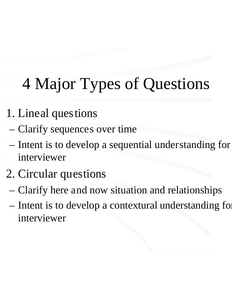# 4 Major Types of Questions

- 1. Lineal questions
	- Clarify sequences over time
	- Intent is to develop a sequential understanding for interviewer
- 2. Circular questions
	- Clarify here and now situation and relationships
	- Intent is to develop a contextural understanding for interviewer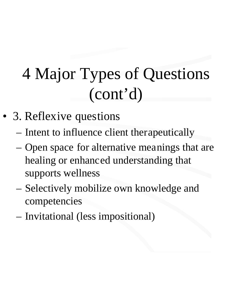## 4 Major Types of Questions (cont'd)

- 3. Reflexive questions
	- Intent to influence client therapeutically
	- Open space for alternative meanings that are healing or enhanced understanding that supports wellness
	- Selectively mobilize own knowledge and competencies
	- Invitational (less impositional)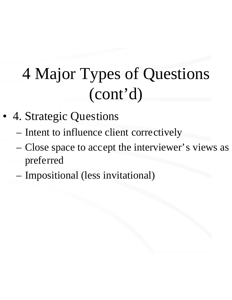## 4 Major Types of Questions (cont'd)

- 4. Strategic Questions
	- Intent to influence client correctively
	- Close space to accept the interviewer's views as preferred
	- Impositional (less invitational)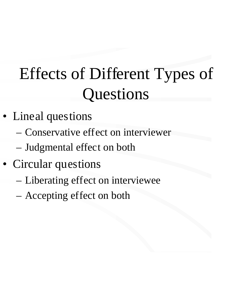## Effects of Different Types of **Questions**

- Lineal questions
	- Conservative effect on interviewer
	- Judgmental effect on both
- Circular questions
	- Liberating effect on interviewee
	- Accepting effect on both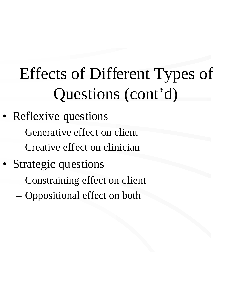## Effects of Different Types of Questions (cont'd)

- Reflexive questions
	- Generative effect on client
	- Creative effect on clinician
- Strategic questions
	- Constraining effect on client
	- Oppositional effect on both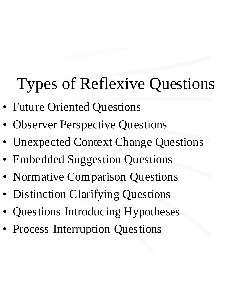# Types of Reflexive Questions

- Future Oriented Questions
- **Observer Perspective Questions**
- Unexpected Context Change Questions
- Embedded Suggestion Questions
- Normative Comparison Questions
- Distinction Clarifying Questions
- Questions Introducing Hypotheses
- Process Interruption Questions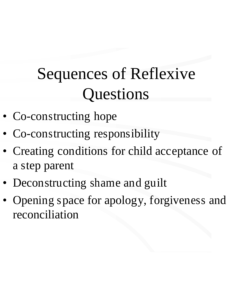### Sequences of Reflexive **Questions**

- Co-constructing hope
- Co-constructing responsibility
- Creating conditions for child acceptance of a step parent
- Deconstructing shame and guilt
- Opening space for apology, forgiveness and reconciliation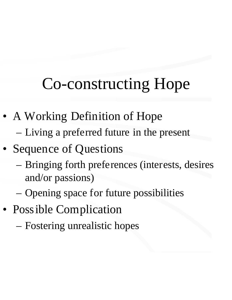#### Co-constructing Hope

- A Working Definition of Hope
	- Living a preferred future in the present
- Sequence of Questions
	- Bringing forth preferences (interests, desires and/or passions)
	- Opening space for future possibilities
- Possible Complication
	- Fostering unrealistic hopes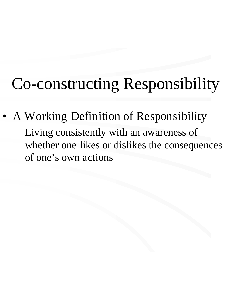#### Co-constructing Responsibility

- A Working Definition of Responsibility
	- Living consistently with an awareness of whether one likes or dislikes the consequences of one's own actions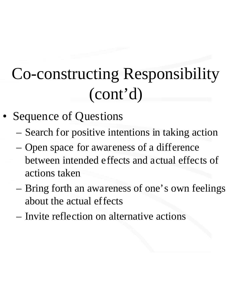## Co-constructing Responsibility (cont'd)

- Sequence of Questions
	- Search for positive intentions in taking action
	- Open space for awareness of a difference between intended effects and actual effects of actions taken
	- Bring forth an awareness of one's own feelings about the actual effects
	- Invite reflection on alternative actions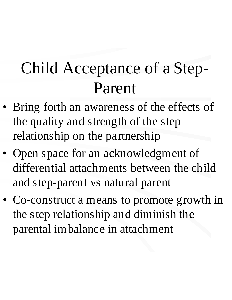#### Child Acceptance of a Step-Parent

- Bring forth an awareness of the effects of the quality and strength of the step relationship on the partnership
- Open space for an acknowledgment of differential attachments between the child and step-parent vs natural parent
- Co-construct a means to promote growth in the step relationship and diminish the parental imbalance in attachment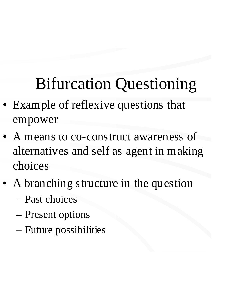## Bifurcation Questioning

- Example of reflexive questions that empower
- A means to co-construct awareness of alternatives and self as agent in making choices
- A branching structure in the question – Past choices
	- Present options
	- Future possibilities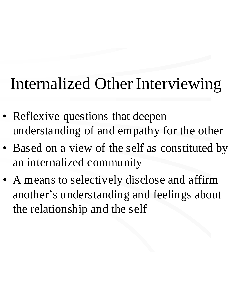#### Internalized Other Interviewing

- Reflexive questions that deepen understanding of and empathy for the other
- Based on a view of the self as constituted by an internalized community
- A means to selectively disclose and affirm another's understanding and feelings about the relationship and the self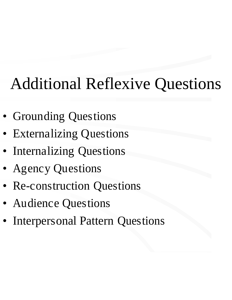## Additional Reflexive Questions

- Grounding Questions
- **Externalizing Questions**
- Internalizing Questions
- Agency Questions
- Re-construction Questions
- Audience Questions
- Interpersonal Pattern Questions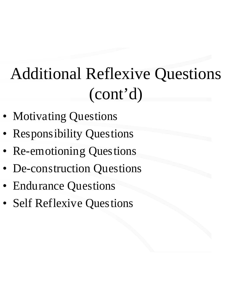### Additional Reflexive Questions (cont'd)

- Motivating Questions
- Responsibility Questions
- Re-emotioning Questions
- De-construction Questions
- Endurance Questions
- **Self Reflexive Questions**